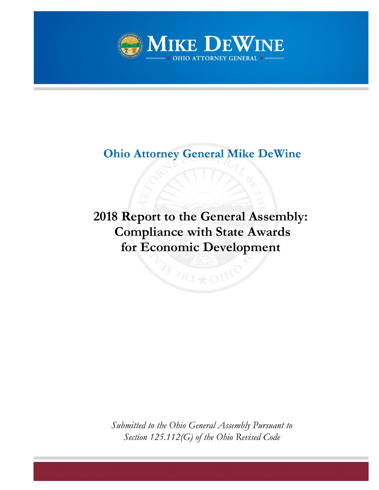

# **Ohio Attorney General Mike DeWine**

# **2018 Report to the General Assembly: Compliance with State Awards for Economic Development**

Submitted to the Ohio General Assembly Pursuant to Section 125.112(G) of the Ohio Revised Code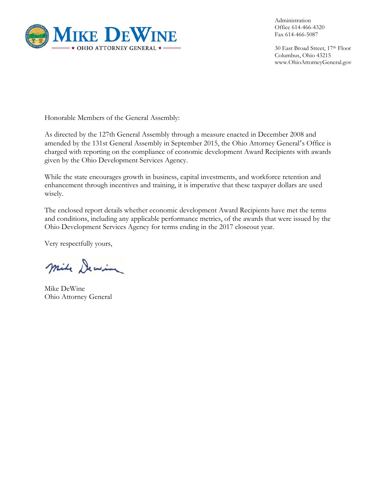

Administration Office 614-466-4320 Fax 614-466-5087

30 East Broad Street, 17th Floor Columbus, Ohio 43215 www.OhioAttorneyGeneral.gov

Honorable Members of the General Assembly:

As directed by the 127th General Assembly through a measure enacted in December 2008 and amended by the 131st General Assembly in September 2015, the Ohio Attorney General's Office is charged with reporting on the compliance of economic development Award Recipients with awards given by the Ohio Development Services Agency.

While the state encourages growth in business, capital investments, and workforce retention and enhancement through incentives and training, it is imperative that these taxpayer dollars are used wisely.

The enclosed report details whether economic development Award Recipients have met the terms and conditions, including any applicable performance metrics, of the awards that were issued by the Ohio Development Services Agency for terms ending in the 2017 closeout year.

Very respectfully yours,

mile Dewin

Mike DeWine Ohio Attorney General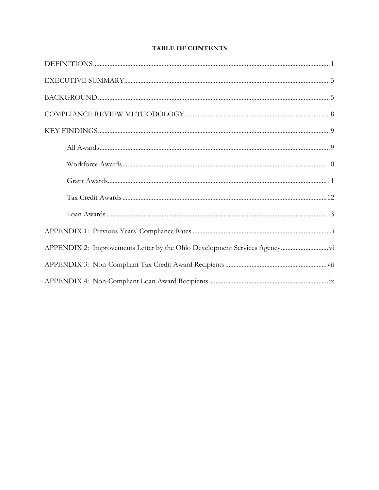## **TABLE OF CONTENTS**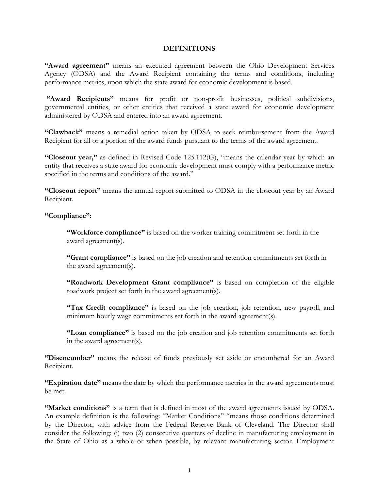#### **DEFINITIONS**

**"Award agreement"** means an executed agreement between the Ohio Development Services Agency (ODSA) and the Award Recipient containing the terms and conditions, including performance metrics, upon which the state award for economic development is based.

"Award Recipients" means for profit or non-profit businesses, political subdivisions, governmental entities, or other entities that received a state award for economic development administered by ODSA and entered into an award agreement.

**"Clawback"** means a remedial action taken by ODSA to seek reimbursement from the Award Recipient for all or a portion of the award funds pursuant to the terms of the award agreement.

**"Closeout year,"** as defined in Revised Code 125.112(G), "means the calendar year by which an entity that receives a state award for economic development must comply with a performance metric specified in the terms and conditions of the award."

**"Closeout report"** means the annual report submitted to ODSA in the closeout year by an Award Recipient.

### **"Compliance":**

**"Workforce compliance"** is based on the worker training commitment set forth in the award agreement(s).

**"Grant compliance"** is based on the job creation and retention commitments set forth in the award agreement(s).

**"Roadwork Development Grant compliance"** is based on completion of the eligible roadwork project set forth in the award agreement(s).

**"Tax Credit compliance"** is based on the job creation, job retention, new payroll, and minimum hourly wage commitments set forth in the award agreement(s).

**"Loan compliance"** is based on the job creation and job retention commitments set forth in the award agreement(s).

**"Disencumber"** means the release of funds previously set aside or encumbered for an Award Recipient.

**"Expiration date"** means the date by which the performance metrics in the award agreements must be met.

**"Market conditions"** is a term that is defined in most of the award agreements issued by ODSA. An example definition is the following: "Market Conditions" "means those conditions determined by the Director, with advice from the Federal Reserve Bank of Cleveland. The Director shall consider the following: (i) two (2) consecutive quarters of decline in manufacturing employment in the State of Ohio as a whole or when possible, by relevant manufacturing sector. Employment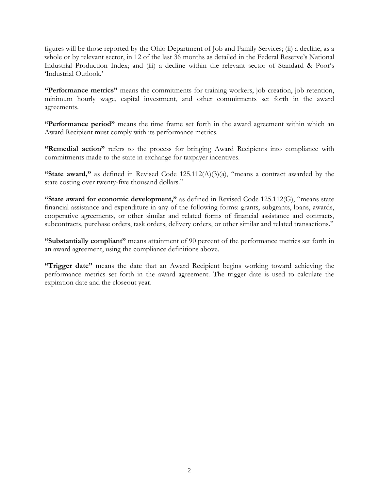figures will be those reported by the Ohio Department of Job and Family Services; (ii) a decline, as a whole or by relevant sector, in 12 of the last 36 months as detailed in the Federal Reserve's National Industrial Production Index; and (iii) a decline within the relevant sector of Standard & Poor's 'Industrial Outlook.'

**"Performance metrics"** means the commitments for training workers, job creation, job retention, minimum hourly wage, capital investment, and other commitments set forth in the award agreements.

**"Performance period"** means the time frame set forth in the award agreement within which an Award Recipient must comply with its performance metrics.

**"Remedial action"** refers to the process for bringing Award Recipients into compliance with commitments made to the state in exchange for taxpayer incentives.

**"State award,"** as defined in Revised Code 125.112(A)(3)(a), "means a contract awarded by the state costing over twenty-five thousand dollars."

"State award for economic development," as defined in Revised Code 125.112(G), "means state financial assistance and expenditure in any of the following forms: grants, subgrants, loans, awards, cooperative agreements, or other similar and related forms of financial assistance and contracts, subcontracts, purchase orders, task orders, delivery orders, or other similar and related transactions."

**"Substantially compliant"** means attainment of 90 percent of the performance metrics set forth in an award agreement, using the compliance definitions above.

**"Trigger date"** means the date that an Award Recipient begins working toward achieving the performance metrics set forth in the award agreement. The trigger date is used to calculate the expiration date and the closeout year.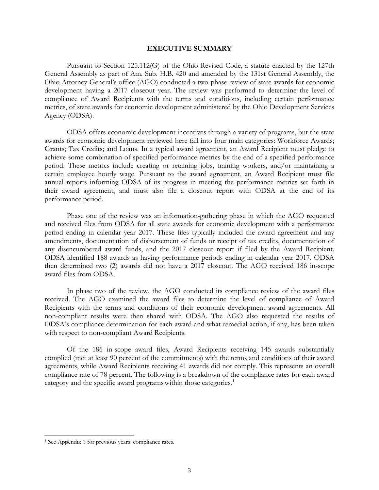#### **EXECUTIVE SUMMARY**

Pursuant to Section 125.112(G) of the Ohio Revised Code, a statute enacted by the 127th General Assembly as part of Am. Sub. H.B. 420 and amended by the 131st General Assembly, the Ohio Attorney General's office (AGO) conducted a two-phase review of state awards for economic development having a 2017 closeout year. The review was performed to determine the level of compliance of Award Recipients with the terms and conditions, including certain performance metrics, of state awards for economic development administered by the Ohio Development Services Agency (ODSA).

ODSA offers economic development incentives through a variety of programs, but the state awards for economic development reviewed here fall into four main categories: Workforce Awards; Grants; Tax Credits; and Loans. In a typical award agreement, an Award Recipient must pledge to achieve some combination of specified performance metrics by the end of a specified performance period. These metrics include creating or retaining jobs, training workers, and/or maintaining a certain employee hourly wage. Pursuant to the award agreement, an Award Recipient must file annual reports informing ODSA of its progress in meeting the performance metrics set forth in their award agreement, and must also file a closeout report with ODSA at the end of its performance period.

Phase one of the review was an information-gathering phase in which the AGO requested and received files from ODSA for all state awards for economic development with a performance period ending in calendar year 2017. These files typically included the award agreement and any amendments, documentation of disbursement of funds or receipt of tax credits, documentation of any disencumbered award funds, and the 2017 closeout report if filed by the Award Recipient. ODSA identified 188 awards as having performance periods ending in calendar year 2017. ODSA then determined two (2) awards did not have a 2017 closeout. The AGO received 186 in-scope award files from ODSA.

In phase two of the review, the AGO conducted its compliance review of the award files received. The AGO examined the award files to determine the level of compliance of Award Recipients with the terms and conditions of their economic development award agreements. All non-compliant results were then shared with ODSA. The AGO also requested the results of ODSA's compliance determination for each award and what remedial action, if any, has been taken with respect to non-compliant Award Recipients.

Of the 186 in-scope award files, Award Recipients receiving 145 awards substantially complied (met at least 90 percent of the commitments) with the terms and conditions of their award agreements, while Award Recipients receiving 41 awards did not comply. This represents an overall compliance rate of 78 percent. The following is a breakdown of the compliance rates for each award category and the specific award programs within those categories.<sup>[1](#page-5-0)</sup>

<span id="page-5-0"></span><sup>1</sup> See Appendix 1 for previous years' compliance rates.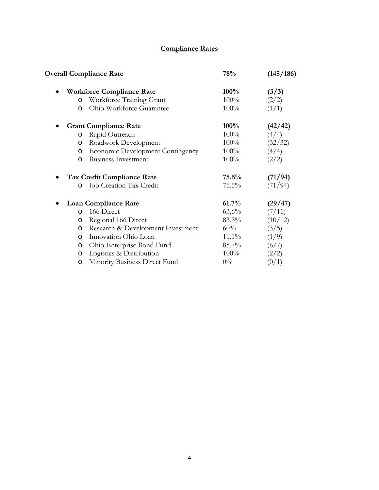# **Compliance Rates**

| <b>Overall Compliance Rate</b>                | 78%      | (145/186) |
|-----------------------------------------------|----------|-----------|
| <b>Workforce Compliance Rate</b><br>$\bullet$ | $100\%$  | (3/3)     |
| Workforce Training Grant<br>O                 | 100%     | (2/2)     |
| Ohio Workforce Guarantee<br>$\circ$           | 100%     | (1/1)     |
| <b>Grant Compliance Rate</b>                  | 100%     | (42/42)   |
| Rapid Outreach<br>O                           | $100\%$  | (4/4)     |
| Roadwork Development<br>O                     | 100%     | (32/32)   |
| <b>Economic Development Contingency</b><br>O  | 100%     | (4/4)     |
| <b>Business Investment</b><br>$\circ$         | 100%     | (2/2)     |
| Tax Credit Compliance Rate<br>$\bullet$       | $75.5\%$ | (71/94)   |
| Job Creation Tax Credit<br>$\circ$            | 75.5%    | (71/94)   |
| <b>Loan Compliance Rate</b>                   | 61.7%    | (29/47)   |
| 166 Direct<br>$\circ$                         | $63.6\%$ | (7/11)    |
| Regional 166 Direct<br>O                      | 83.3%    | (10/12)   |
| Research & Development Investment<br>O        | 60%      | (3/5)     |
| Innovation Ohio Loan<br>$\circ$               | $11.1\%$ | (1/9)     |
| Ohio Enterprise Bond Fund<br>$\circ$          | 85.7%    | (6/7)     |
| Logistics & Distribution<br>O                 | 100%     | (2/2)     |
| Minority Business Direct Fund<br>O            | $0\%$    |           |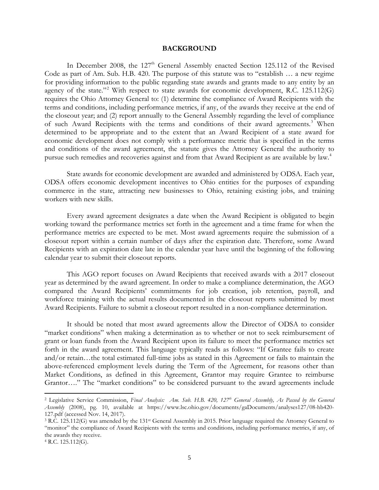#### **BACKGROUND**

In December 2008, the  $127<sup>th</sup>$  General Assembly enacted Section 125.112 of the Revised Code as part of Am. Sub. H.B. 420. The purpose of this statute was to "establish … a new regime for providing information to the public regarding state awards and grants made to any entity by an agency of the state."<sup>[2](#page-7-0)</sup> With respect to state awards for economic development, R.C. 125.112(G) requires the Ohio Attorney General to: (1) determine the compliance of Award Recipients with the terms and conditions, including performance metrics, if any, of the awards they receive at the end of the closeout year; and (2) report annually to the General Assembly regarding the level of compliance of such Award Recipients with the terms and conditions of their award agreements.<sup>[3](#page-7-1)</sup> When determined to be appropriate and to the extent that an Award Recipient of a state award for economic development does not comply with a performance metric that is specified in the terms and conditions of the award agreement, the statute gives the Attorney General the authority to pursue such remedies and recoveries against and from that Award Recipient as are available by law.<sup>4</sup>

State awards for economic development are awarded and administered by ODSA. Each year, ODSA offers economic development incentives to Ohio entities for the purposes of expanding commerce in the state, attracting new businesses to Ohio, retaining existing jobs, and training workers with new skills.

Every award agreement designates a date when the Award Recipient is obligated to begin working toward the performance metrics set forth in the agreement and a time frame for when the performance metrics are expected to be met. Most award agreements require the submission of a closeout report within a certain number of days after the expiration date. Therefore, some Award Recipients with an expiration date late in the calendar year have until the beginning of the following calendar year to submit their closeout reports.

This AGO report focuses on Award Recipients that received awards with a 2017 closeout year as determined by the award agreement. In order to make a compliance determination, the AGO compared the Award Recipients' commitments for job creation, job retention, payroll, and workforce training with the actual results documented in the closeout reports submitted by most Award Recipients. Failure to submit a closeout report resulted in a non-compliance determination.

It should be noted that most award agreements allow the Director of ODSA to consider "market conditions" when making a determination as to whether or not to seek reimbursement of grant or loan funds from the Award Recipient upon its failure to meet the performance metrics set forth in the award agreement. This language typically reads as follows: "If Grantee fails to create and/or retain…the total estimated full-time jobs as stated in this Agreement or fails to maintain the above-referenced employment levels during the Term of the Agreement, for reasons other than Market Conditions, as defined in this Agreement, Grantor may require Grantee to reimburse Grantor…." The "market conditions" to be considered pursuant to the award agreements include

<span id="page-7-0"></span><sup>2</sup> Legislative Service Commission, *Final Analysis: Am. Sub. H.B. 420, 127th General Assembly, As Passed by the General Assembly* (2008), pg. 10, available at https://www.lsc.ohio.gov/documents/gaDocuments/analyses127/08-hb420- 127.pdf (accessed Nov. 14, 2017).

<span id="page-7-1"></span><sup>&</sup>lt;sup>3</sup> R.C. 125.112(G) was amended by the 131<sup>st</sup> General Assembly in 2015. Prior language required the Attorney General to "monitor" the compliance of Award Recipients with the terms and conditions, including performance metrics, if any, of the awards they receive.

<span id="page-7-2"></span><sup>4</sup> R.C. 125.112(G).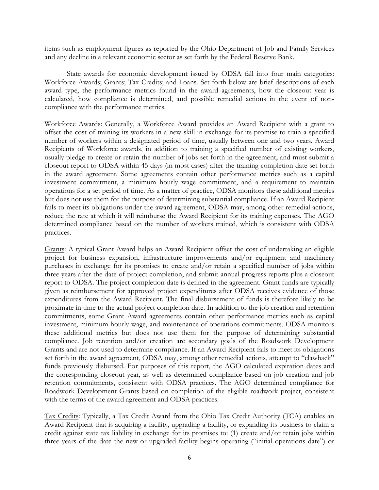items such as employment figures as reported by the Ohio Department of Job and Family Services and any decline in a relevant economic sector as set forth by the Federal Reserve Bank.

State awards for economic development issued by ODSA fall into four main categories: Workforce Awards; Grants; Tax Credits; and Loans. Set forth below are brief descriptions of each award type, the performance metrics found in the award agreements, how the closeout year is calculated, how compliance is determined, and possible remedial actions in the event of noncompliance with the performance metrics.

Workforce Awards: Generally, a Workforce Award provides an Award Recipient with a grant to offset the cost of training its workers in a new skill in exchange for its promise to train a specified number of workers within a designated period of time, usually between one and two years. Award Recipients of Workforce awards, in addition to training a specified number of existing workers, usually pledge to create or retain the number of jobs set forth in the agreement, and must submit a closeout report to ODSA within 45 days (in most cases) after the training completion date set forth in the award agreement. Some agreements contain other performance metrics such as a capital investment commitment, a minimum hourly wage commitment, and a requirement to maintain operations for a set period of time. As a matter of practice, ODSA monitors these additional metrics but does not use them for the purpose of determining substantial compliance. If an Award Recipient fails to meet its obligations under the award agreement, ODSA may, among other remedial actions, reduce the rate at which it will reimburse the Award Recipient for its training expenses. The AGO determined compliance based on the number of workers trained, which is consistent with ODSA practices.

Grants: A typical Grant Award helps an Award Recipient offset the cost of undertaking an eligible project for business expansion, infrastructure improvements and/or equipment and machinery purchases in exchange for its promises to create and/or retain a specified number of jobs within three years after the date of project completion, and submit annual progress reports plus a closeout report to ODSA. The project completion date is defined in the agreement. Grant funds are typically given as reimbursement for approved project expenditures after ODSA receives evidence of those expenditures from the Award Recipient. The final disbursement of funds is therefore likely to be proximate in time to the actual project completion date. In addition to the job creation and retention commitments, some Grant Award agreements contain other performance metrics such as capital investment, minimum hourly wage, and maintenance of operations commitments. ODSA monitors these additional metrics but does not use them for the purpose of determining substantial compliance. Job retention and/or creation are secondary goals of the Roadwork Development Grants and are not used to determine compliance. If an Award Recipient fails to meet its obligations set forth in the award agreement, ODSA may, among other remedial actions, attempt to "clawback" funds previously disbursed. For purposes of this report, the AGO calculated expiration dates and the corresponding closeout year, as well as determined compliance based on job creation and job retention commitments, consistent with ODSA practices. The AGO determined compliance for Roadwork Development Grants based on completion of the eligible roadwork project, consistent with the terms of the award agreement and ODSA practices.

Tax Credits: Typically, a Tax Credit Award from the Ohio Tax Credit Authority (TCA) enables an Award Recipient that is acquiring a facility, upgrading a facility, or expanding its business to claim a credit against state tax liability in exchange for its promises to: (1) create and/or retain jobs within three years of the date the new or upgraded facility begins operating ("initial operations date") or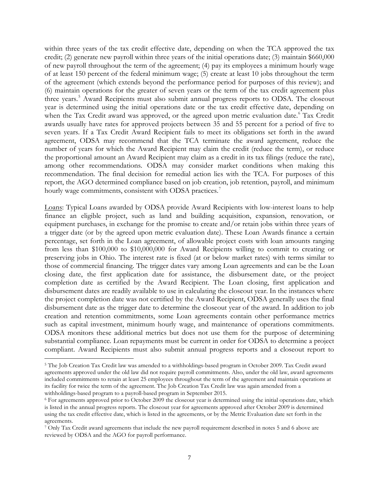within three years of the tax credit effective date, depending on when the TCA approved the tax credit; (2) generate new payroll within three years of the initial operations date; (3) maintain \$660,000 of new payroll throughout the term of the agreement; (4) pay its employees a minimum hourly wage of at least 150 percent of the federal minimum wage; (5) create at least 10 jobs throughout the term of the agreement (which extends beyond the performance period for purposes of this review); and (6) maintain operations for the greater of seven years or the term of the tax credit agreement plus three years.<sup>[5](#page-9-0)</sup> Award Recipients must also submit annual progress reports to ODSA. The closeout year is determined using the initial operations date or the tax credit effective date, depending on when the Tax Credit award was approved, or the agreed upon metric evaluation date.<sup>[6](#page-9-1)</sup> Tax Credit awards usually have rates for approved projects between 35 and 55 percent for a period of five to seven years. If a Tax Credit Award Recipient fails to meet its obligations set forth in the award agreement, ODSA may recommend that the TCA terminate the award agreement, reduce the number of years for which the Award Recipient may claim the credit (reduce the term), or reduce the proportional amount an Award Recipient may claim as a credit in its tax filings (reduce the rate), among other recommendations. ODSA may consider market conditions when making this recommendation. The final decision for remedial action lies with the TCA. For purposes of this report, the AGO determined compliance based on job creation, job retention, payroll, and minimum hourly wage commitments, consistent with ODSA practices.<sup>[7](#page-9-2)</sup>

Loans: Typical Loans awarded by ODSA provide Award Recipients with low-interest loans to help finance an eligible project, such as land and building acquisition, expansion, renovation, or equipment purchases, in exchange for the promise to create and/or retain jobs within three years of a trigger date (or by the agreed upon metric evaluation date). These Loan Awards finance a certain percentage, set forth in the Loan agreement, of allowable project costs with loan amounts ranging from less than \$100,000 to \$10,000,000 for Award Recipients willing to commit to creating or preserving jobs in Ohio. The interest rate is fixed (at or below market rates) with terms similar to those of commercial financing. The trigger dates vary among Loan agreements and can be the Loan closing date, the first application date for assistance, the disbursement date, or the project completion date as certified by the Award Recipient. The Loan closing, first application and disbursement dates are readily available to use in calculating the closeout year. In the instances where the project completion date was not certified by the Award Recipient, ODSA generally uses the final disbursement date as the trigger date to determine the closeout year of the award. In addition to job creation and retention commitments, some Loan agreements contain other performance metrics such as capital investment, minimum hourly wage, and maintenance of operations commitments. ODSA monitors these additional metrics but does not use them for the purpose of determining substantial compliance. Loan repayments must be current in order for ODSA to determine a project compliant. Award Recipients must also submit annual progress reports and a closeout report to

<span id="page-9-0"></span><sup>5</sup> The Job Creation Tax Credit law was amended to a withholdings-based program in October 2009. Tax Credit award agreements approved under the old law did not require payroll commitments. Also, under the old law, award agreements included commitments to retain at least 25 employees throughout the term of the agreement and maintain operations at its facility for twice the term of the agreement. The Job Creation Tax Credit law was again amended from a withholdings-based program to a payroll-based program in September 2015.

<span id="page-9-1"></span><sup>6</sup> For agreements approved prior to October 2009 the closeout year is determined using the initial operations date, which is listed in the annual progress reports. The closeout year for agreements approved after October 2009 is determined using the tax credit effective date, which is listed in the agreements, or by the Metric Evaluation date set forth in the agreements.

<span id="page-9-2"></span><sup>7</sup> Only Tax Credit award agreements that include the new payroll requirement described in notes 5 and 6 above are reviewed by ODSA and the AGO for payroll performance.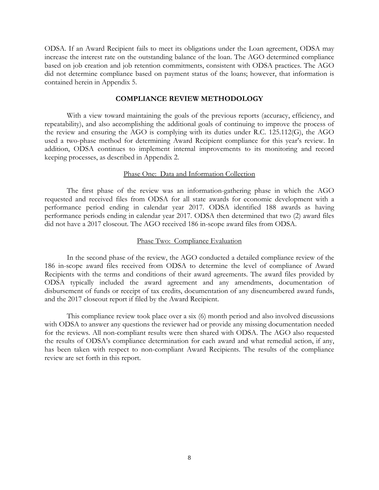ODSA. If an Award Recipient fails to meet its obligations under the Loan agreement, ODSA may increase the interest rate on the outstanding balance of the loan. The AGO determined compliance based on job creation and job retention commitments, consistent with ODSA practices. The AGO did not determine compliance based on payment status of the loans; however, that information is contained herein in Appendix 5.

#### **COMPLIANCE REVIEW METHODOLOGY**

With a view toward maintaining the goals of the previous reports (accuracy, efficiency, and repeatability), and also accomplishing the additional goals of continuing to improve the process of the review and ensuring the AGO is complying with its duties under R.C. 125.112(G), the AGO used a two-phase method for determining Award Recipient compliance for this year's review. In addition, ODSA continues to implement internal improvements to its monitoring and record keeping processes, as described in Appendix 2.

#### Phase One: Data and Information Collection

The first phase of the review was an information-gathering phase in which the AGO requested and received files from ODSA for all state awards for economic development with a performance period ending in calendar year 2017. ODSA identified 188 awards as having performance periods ending in calendar year 2017. ODSA then determined that two (2) award files did not have a 2017 closeout. The AGO received 186 in-scope award files from ODSA.

#### Phase Two: Compliance Evaluation

In the second phase of the review, the AGO conducted a detailed compliance review of the 186 in-scope award files received from ODSA to determine the level of compliance of Award Recipients with the terms and conditions of their award agreements. The award files provided by ODSA typically included the award agreement and any amendments, documentation of disbursement of funds or receipt of tax credits, documentation of any disencumbered award funds, and the 2017 closeout report if filed by the Award Recipient.

This compliance review took place over a six (6) month period and also involved discussions with ODSA to answer any questions the reviewer had or provide any missing documentation needed for the reviews. All non-compliant results were then shared with ODSA. The AGO also requested the results of ODSA's compliance determination for each award and what remedial action, if any, has been taken with respect to non-compliant Award Recipients. The results of the compliance review are set forth in this report.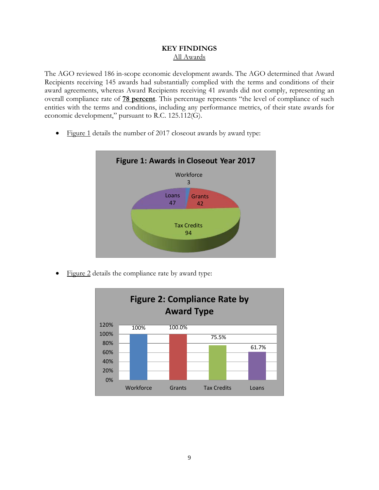### **KEY FINDINGS** All Awards

The AGO reviewed 186 in-scope economic development awards. The AGO determined that Award Recipients receiving 145 awards had substantially complied with the terms and conditions of their award agreements, whereas Award Recipients receiving 41 awards did not comply, representing an overall compliance rate of **78 percent**. This percentage represents "the level of compliance of such entities with the terms and conditions, including any performance metrics, of their state awards for economic development," pursuant to R.C. 125.112(G).

• Figure 1 details the number of 2017 closeout awards by award type:



Figure 2 details the compliance rate by award type:

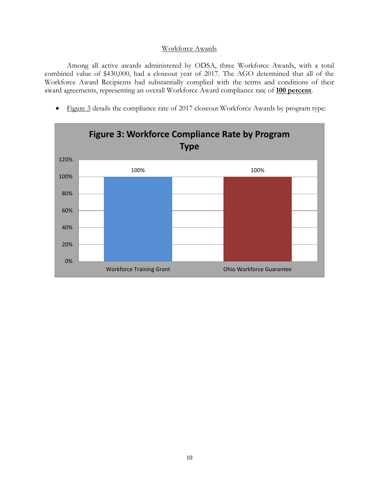### Workforce Awards

Among all active awards administered by ODSA, three Workforce Awards, with a total combined value of \$430,000, had a closeout year of 2017. The AGO determined that all of the Workforce Award Recipients had substantially complied with the terms and conditions of their award agreements, representing an overall Workforce Award compliance rate of **100 percent**.

• Figure 3 details the compliance rate of 2017 closeout Workforce Awards by program type:

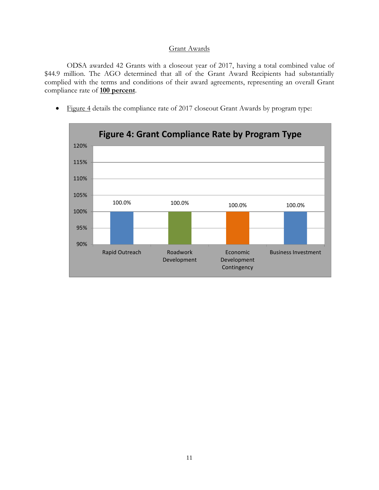### Grant Awards

ODSA awarded 42 Grants with a closeout year of 2017, having a total combined value of \$44.9 million. The AGO determined that all of the Grant Award Recipients had substantially complied with the terms and conditions of their award agreements, representing an overall Grant compliance rate of **100 percent**.

• Figure 4 details the compliance rate of 2017 closeout Grant Awards by program type:

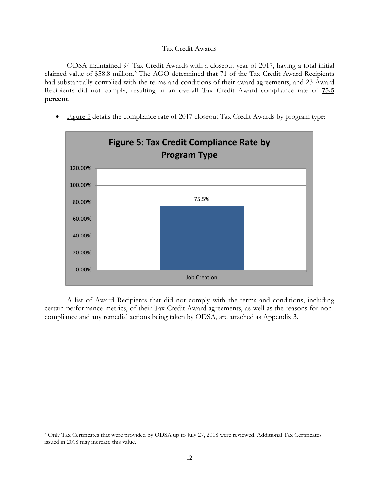### Tax Credit Awards

ODSA maintained 94 Tax Credit Awards with a closeout year of 2017, having a total initial claimed value of \$58.8 million. [8](#page-14-0) The AGO determined that 71 of the Tax Credit Award Recipients had substantially complied with the terms and conditions of their award agreements, and 23 Award Recipients did not comply, resulting in an overall Tax Credit Award compliance rate of **75.5 percent**.

• Figure 5 details the compliance rate of 2017 closeout Tax Credit Awards by program type:



A list of Award Recipients that did not comply with the terms and conditions, including certain performance metrics, of their Tax Credit Award agreements, as well as the reasons for noncompliance and any remedial actions being taken by ODSA, are attached as Appendix 3.

<span id="page-14-0"></span><sup>8</sup> Only Tax Certificates that were provided by ODSA up to July 27, 2018 were reviewed. Additional Tax Certificates issued in 2018 may increase this value.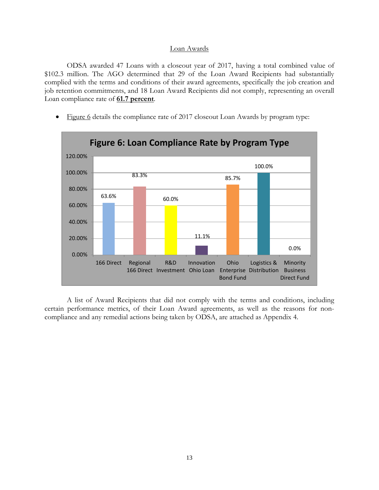#### Loan Awards

ODSA awarded 47 Loans with a closeout year of 2017, having a total combined value of \$102.3 million. The AGO determined that 29 of the Loan Award Recipients had substantially complied with the terms and conditions of their award agreements, specifically the job creation and job retention commitments, and 18 Loan Award Recipients did not comply, representing an overall Loan compliance rate of **61.7 percent**.

• Figure 6 details the compliance rate of 2017 closeout Loan Awards by program type:



A list of Award Recipients that did not comply with the terms and conditions, including certain performance metrics, of their Loan Award agreements, as well as the reasons for noncompliance and any remedial actions being taken by ODSA, are attached as Appendix 4.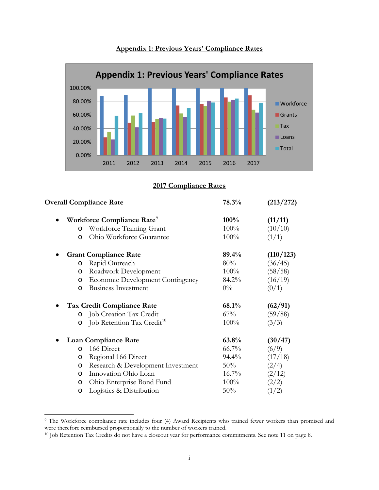

**Appendix 1: Previous Years' Compliance Rates**

**2017 Compliance Rates**

| 78.3%    | (213/272) |  |
|----------|-----------|--|
| 100%     | (11/11)   |  |
| 100%     | (10/10)   |  |
| 100%     | (1/1)     |  |
| 89.4%    | (110/123) |  |
| 80%      | (36/45)   |  |
| $100\%$  | (58/58)   |  |
| 84.2%    | (16/19)   |  |
| $0\%$    | (0/1)     |  |
| 68.1%    | (62/91)   |  |
| 67%      | (59/88)   |  |
| 100%     | (3/3)     |  |
| 63.8%    | (30/47)   |  |
| 66.7%    | (6/9)     |  |
| 94.4%    | (17/18)   |  |
| 50%      | (2/4)     |  |
| $16.7\%$ | (2/12)    |  |
| 100%     | (2/2)     |  |
| 50%      | (1/2)     |  |
|          |           |  |

<span id="page-16-0"></span><sup>&</sup>lt;sup>9</sup> The Workforce compliance rate includes four (4) Award Recipients who trained fewer workers than promised and were therefore reimbursed proportionally to the number of workers trained.

<span id="page-16-1"></span><sup>10</sup> Job Retention Tax Credits do not have a closeout year for performance commitments. See note 11 on page 8.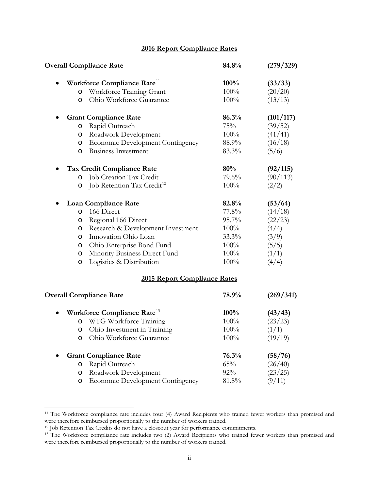# **2016 Report Compliance Rates**

|         | <b>Overall Compliance Rate</b>          | 84.8%   | (279/329) |  |
|---------|-----------------------------------------|---------|-----------|--|
|         | Workforce Compliance Rate <sup>11</sup> | 100%    | (33/33)   |  |
| $\circ$ | Workforce Training Grant                | 100%    | (20/20)   |  |
| O       | Ohio Workforce Guarantee                | 100%    | (13/13)   |  |
|         | <b>Grant Compliance Rate</b>            | 86.3%   | (101/117) |  |
| O       | Rapid Outreach                          | 75%     | (39/52)   |  |
| O       | Roadwork Development                    | 100%    | (41/41)   |  |
| O       | <b>Economic Development Contingency</b> | 88.9%   | (16/18)   |  |
| O       | <b>Business Investment</b>              | 83.3%   | (5/6)     |  |
|         | <b>Tax Credit Compliance Rate</b>       | 80%     | (92/115)  |  |
| O       | Job Creation Tax Credit                 | 79.6%   | (90/113)  |  |
| O       | Job Retention Tax Credit <sup>12</sup>  | 100%    | (2/2)     |  |
|         | <b>Loan Compliance Rate</b>             | 82.8%   | (53/64)   |  |
| O       | 166 Direct                              | 77.8%   | (14/18)   |  |
| O       | Regional 166 Direct                     | 95.7%   | (22/23)   |  |
| O       | Research & Development Investment       | 100%    | (4/4)     |  |
| O       | Innovation Ohio Loan                    | 33.3%   | (3/9)     |  |
| O       | Ohio Enterprise Bond Fund               | 100%    | (5/5)     |  |
| $\circ$ | Minority Business Direct Fund           | 100%    | (1/1)     |  |
| O       | Logistics & Distribution                | 100%    | (4/4)     |  |
|         | 2015 Report Compliance Rates            |         |           |  |
|         | <b>Overall Compliance Rate</b>          | 78.9%   | (269/341) |  |
|         | Workforce Compliance Rate <sup>13</sup> | 100%    | (43/43)   |  |
| O       | WTG Workforce Training                  | 100%    | (23/23)   |  |
| O       | Ohio Investment in Training             | 100%    | (1/1)     |  |
| O       | Ohio Workforce Guarantee                | $100\%$ | (19/19)   |  |
|         | <b>Grant Compliance Rate</b>            | 76.3%   | (58/76)   |  |
| $\circ$ | Rapid Outreach                          | 65%     | (26/40)   |  |
| O       | Roadwork Development                    | 92%     | (23/25)   |  |
| O       | Economic Development Contingency        | 81.8%   | (9/11)    |  |

<span id="page-17-0"></span><sup>&</sup>lt;sup>11</sup> The Workforce compliance rate includes four (4) Award Recipients who trained fewer workers than promised and were therefore reimbursed proportionally to the number of workers trained.<br><sup>12</sup> Job Retention Tax Credits do not have a closeout year for performance commitments.

<span id="page-17-2"></span><span id="page-17-1"></span><sup>&</sup>lt;sup>13</sup> The Workforce compliance rate includes two (2) Award Recipients who trained fewer workers than promised and were therefore reimbursed proportionally to the number of workers trained.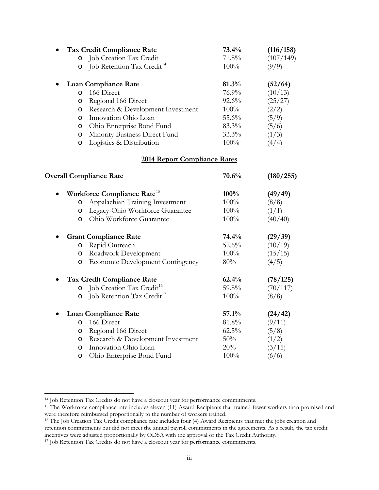|                    | <b>Tax Credit Compliance Rate</b>                                 | 73.4%         | (116/158)          |
|--------------------|-------------------------------------------------------------------|---------------|--------------------|
| $\circ$<br>$\circ$ | Job Creation Tax Credit<br>Job Retention Tax Credit <sup>14</sup> | 71.8%<br>100% | (107/149)<br>(9/9) |
|                    | <b>Loan Compliance Rate</b>                                       | 81.3%         | (52/64)            |
| $\circ$            | 166 Direct                                                        | 76.9%         | (10/13)            |
| $\circ$            | Regional 166 Direct                                               | 92.6%         | (25/27)            |
| O                  | Research & Development Investment                                 | 100%          | (2/2)              |
| O                  | Innovation Ohio Loan                                              | 55.6%         | (5/9)              |
| O                  | Ohio Enterprise Bond Fund                                         | 83.3%         | (5/6)              |
| O                  | Minority Business Direct Fund                                     | 33.3%         | (1/3)              |
| O                  | Logistics & Distribution                                          | 100%          | (4/4)              |
|                    | <b>2014 Report Compliance Rates</b>                               |               |                    |
|                    | <b>Overall Compliance Rate</b>                                    | 70.6%         | (180/255)          |
|                    | Workforce Compliance Rate <sup>15</sup>                           | 100%          | (49/49)            |
| O                  | Appalachian Training Investment                                   | 100%          | (8/8)              |
| O                  | Legacy-Ohio Workforce Guarantee                                   | 100%          | (1/1)              |
| O                  | Ohio Workforce Guarantee                                          | 100%          | (40/40)            |
|                    | <b>Grant Compliance Rate</b>                                      | 74.4%         | (29/39)            |
| O                  | Rapid Outreach                                                    | 52.6%         | (10/19)            |
| $\circ$            | Roadwork Development                                              | 100%          | (15/15)            |
| $\circ$            | <b>Economic Development Contingency</b>                           | 80%           | (4/5)              |
|                    | Tax Credit Compliance Rate                                        | 62.4%         | (78/125)           |
| $\circ$            | Job Creation Tax Credit <sup>16</sup>                             | 59.8%         | (70/117)           |
| $\circ$            | Job Retention Tax Credit <sup>17</sup>                            | 100%          | (8/8)              |
|                    | <b>Loan Compliance Rate</b>                                       | 57.1%         | (24/42)            |
| O                  | 166 Direct                                                        | 81.8%         | (9/11)             |
| O                  | Regional 166 Direct                                               | $62.5\%$      | (5/8)              |
| O                  | Research & Development Investment                                 | 50%           | (1/2)              |
| O                  | Innovation Ohio Loan                                              | 20%           | (3/15)             |
| $\circ$            | Ohio Enterprise Bond Fund                                         | 100%          | (6/6)              |

<span id="page-18-1"></span><span id="page-18-0"></span><sup>&</sup>lt;sup>14</sup> Job Retention Tax Credits do not have a closeout year for performance commitments.<br><sup>15</sup> The Workforce compliance rate includes eleven (11) Award Recipients that trained fewer workers than promised and were therefore reimbursed proportionally to the number of workers trained.

<span id="page-18-2"></span><sup>&</sup>lt;sup>16</sup> The Job Creation Tax Credit compliance rate includes four (4) Award Recipients that met the jobs creation and retention commitments but did not meet the annual payroll commitments in the agreements. As a result, the tax credit incentives were adjusted proportionally by ODSA with the approval of the Tax Credit Authority.

<span id="page-18-3"></span><sup>&</sup>lt;sup>17</sup> Job Retention Tax Credits do not have a closeout year for performance commitments.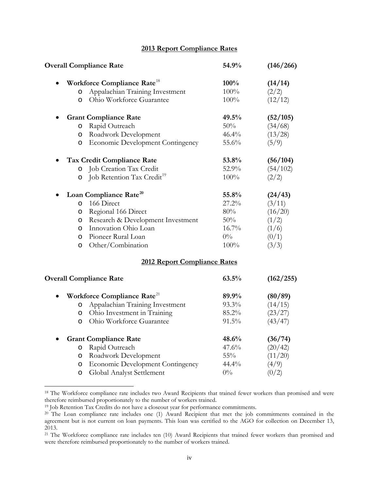## **2013 Report Compliance Rates**

|         | <b>Overall Compliance Rate</b>          | 54.9%    | (146/266) |  |
|---------|-----------------------------------------|----------|-----------|--|
|         | Workforce Compliance Rate <sup>18</sup> | 100%     | (14/14)   |  |
| O       | Appalachian Training Investment         | 100%     | (2/2)     |  |
| O       | Ohio Workforce Guarantee                | 100%     | (12/12)   |  |
|         | <b>Grant Compliance Rate</b>            | 49.5%    | (52/105)  |  |
| $\circ$ | Rapid Outreach                          | 50%      | (34/68)   |  |
| $\circ$ | Roadwork Development                    | 46.4%    | (13/28)   |  |
| O       | Economic Development Contingency        | 55.6%    | (5/9)     |  |
|         | Tax Credit Compliance Rate              | 53.8%    | (56/104)  |  |
| $\circ$ | Job Creation Tax Credit                 | 52.9%    | (54/102)  |  |
| O       | Job Retention Tax Credit <sup>19</sup>  | 100%     | (2/2)     |  |
|         | Loan Compliance Rate <sup>20</sup>      | 55.8%    | (24/43)   |  |
| O       | 166 Direct                              | $27.2\%$ | (3/11)    |  |
| O       | Regional 166 Direct                     | 80%      | (16/20)   |  |
| $\circ$ | Research & Development Investment       | 50%      | (1/2)     |  |
| O       | Innovation Ohio Loan                    | $16.7\%$ | (1/6)     |  |
| O       | Pioneer Rural Loan                      | $0\%$    | (0/1)     |  |
| $\circ$ | Other/Combination                       | 100%     | (3/3)     |  |
|         | 2012 Report Compliance Rates            |          |           |  |
|         | <b>Overall Compliance Rate</b>          | 63.5%    | (162/255) |  |
|         | Workforce Compliance Rate <sup>21</sup> | 89.9%    | (80/89)   |  |
| O       | Appalachian Training Investment         | 93.3%    | (14/15)   |  |
| O       | Ohio Investment in Training             | 85.2%    | (23/27)   |  |
|         |                                         |          |           |  |

|           |         | o Ohio Workforce Guarantee                | $91.5\%$ | (43/47) |
|-----------|---------|-------------------------------------------|----------|---------|
| $\bullet$ |         | <b>Grant Compliance Rate</b>              | 48.6%    | (36/74) |
|           | $\circ$ | Rapid Outreach                            | 47.6%    | (20/42) |
|           |         | <b>o</b> Roadwork Development             | $55\%$   | (11/20) |
|           |         | <b>o</b> Economic Development Contingency | $44.4\%$ | (4/9)   |
|           |         | o Global Analyst Settlement               | $0\%$    | (0/2)   |
|           |         |                                           |          |         |

<span id="page-19-0"></span><sup>&</sup>lt;sup>18</sup> The Workforce compliance rate includes two Award Recipients that trained fewer workers than promised and were therefore reimbursed proportionately to the number of workers trained.

<span id="page-19-1"></span><sup>19</sup> Job Retention Tax Credits do not have a closeout year for performance commitments.

<span id="page-19-2"></span><sup>&</sup>lt;sup>20</sup> The Loan compliance rate includes one (1) Award Recipient that met the job commitments contained in the agreement but is not current on loan payments. This loan was certified to the AGO for collection on December 13, 2013.

<span id="page-19-3"></span><sup>&</sup>lt;sup>21</sup> The Workforce compliance rate includes ten (10) Award Recipients that trained fewer workers than promised and were therefore reimbursed proportionately to the number of workers trained.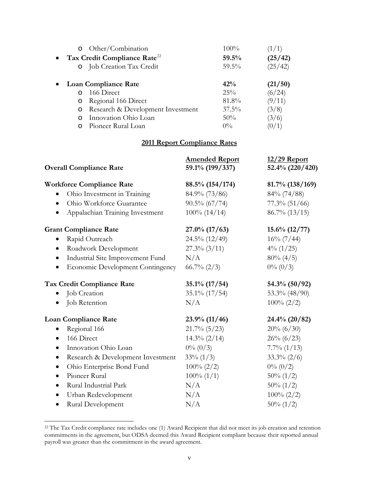| $\circ$  |                     | 100%                                                                                                                                                                                     | (1/1)   |
|----------|---------------------|------------------------------------------------------------------------------------------------------------------------------------------------------------------------------------------|---------|
|          |                     | 59.5%                                                                                                                                                                                    | (25/42) |
|          |                     | $59.5\%$                                                                                                                                                                                 | (25/42) |
|          |                     | 42%                                                                                                                                                                                      | (21/50) |
| $\Omega$ | 166 Direct          | 25%                                                                                                                                                                                      | (6/24)  |
| $\circ$  | Regional 166 Direct | 81.8%                                                                                                                                                                                    | (9/11)  |
| $\circ$  |                     | $37.5\%$                                                                                                                                                                                 | (3/8)   |
| $\Omega$ |                     | $50\%$                                                                                                                                                                                   | (3/6)   |
| $\Omega$ | Pioneer Rural Loan  | $0\%$                                                                                                                                                                                    |         |
|          |                     | Other/Combination<br>• Tax Credit Compliance Rate <sup>22</sup><br>o Job Creation Tax Credit<br><b>Loan Compliance Rate</b><br>Research & Development Investment<br>Innovation Ohio Loan |         |

# **2011 Report Compliance Rates**

| <b>Overall Compliance Rate</b>                 | <b>Amended Report</b><br>59.1% (199/337) | 12/29 Report<br>52.4% (220/420) |  |
|------------------------------------------------|------------------------------------------|---------------------------------|--|
| <b>Workforce Compliance Rate</b>               | $88.5\%$ (154/174)                       | $81.7\%$ (138/169)              |  |
| Ohio Investment in Training                    | 84.9% (73/86)                            | 84% (74/88)                     |  |
| Ohio Workforce Guarantee                       | $90.5\%$ (67/74)                         | $77.3\%$ (51/66)                |  |
| Appalachian Training Investment                | $100\% (14/14)$                          | $86.7\% (13/15)$                |  |
| <b>Grant Compliance Rate</b>                   | $27.0\%$ (17/63)                         | $15.6\% (12/77)$                |  |
| Rapid Outreach                                 | $24.5\% (12/49)$                         | $16\% (7/44)$                   |  |
| Roadwork Development<br>$\bullet$              | $27.3\%$ (3/11)                          | $4\%$ (1/25)                    |  |
| Industrial Site Improvement Fund<br>$\bullet$  | N/A                                      | $80\% (4/5)$                    |  |
| <b>Economic Development Contingency</b>        | $66.7\% (2/3)$                           | $0\% (0/3)$                     |  |
| Tax Credit Compliance Rate                     | $35.1\% (17/54)$                         | 54.3% (50/92)                   |  |
| Job Creation                                   | 35.1% (17/54)                            | 53.3% $(48/90)$                 |  |
| Job Retention<br>$\bullet$                     | N/A                                      | $100\% (2/2)$                   |  |
| <b>Loan Compliance Rate</b>                    | $23.9\%$ (11/46)                         | $24.4\% (20/82)$                |  |
| Regional 166                                   | $21.7\%$ (5/23)                          | $20\% (6/30)$                   |  |
| 166 Direct                                     | $14.3\% (2/14)$                          | $26\% (6/23)$                   |  |
| Innovation Ohio Loan<br>$\bullet$              | $0\% (0/3)$                              | $7.7\%$ $(1/13)$                |  |
| Research & Development Investment<br>$\bullet$ | $33\% (1/3)$                             | $33.3\% (2/6)$                  |  |
| Ohio Enterprise Bond Fund<br>$\bullet$         | $100\% (2/2)$                            | $0\% (0/2)$                     |  |
| Pioneer Rural<br>$\bullet$                     | $100\% (1/1)$                            | $50\% (1/2)$                    |  |
| Rural Industrial Park<br>$\bullet$             | N/A                                      | $50\% (1/2)$                    |  |
| Urban Redevelopment<br>$\bullet$               | N/A                                      | $100\% (2/2)$                   |  |
| Rural Development<br>$\bullet$                 | N/A                                      | $50\% (1/2)$                    |  |

<span id="page-20-0"></span> $22$  The Tax Credit compliance rate includes one (1) Award Recipient that did not meet its job creation and retention commitments in the agreement, but ODSA deemed this Award Recipient compliant because their reported annual payroll was greater than the commitment in the award agreement.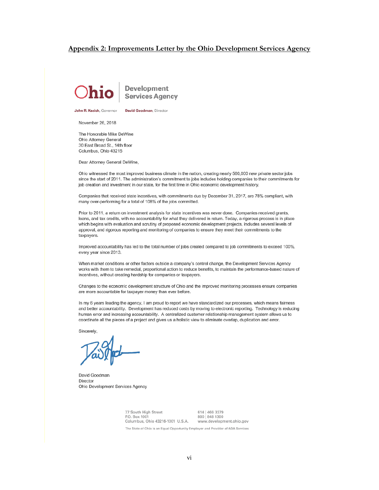#### **Appendix 2: Improvements Letter by the Ohio Development Services Agency**



John R. Kasich, Governor

**David Goodman**, Director

November 26, 2018

The Honorable Mike DeWine Ohio Attorney General 30 East Broad St., 14th floor Columbus, Ohio 43215

Dear Attorney General DeWine,

Ohio witnessed the most improved business climate in the nation, creating nearly 560,000 new private sector jobs since the start of 2011. The administration's commitment to jobs includes holding companies to their commitments for job creation and investment in our state, for the first time in Ohio economic development history.

Companies that received state incentives, with commitments due by December 31, 2017, are 78% compliant, with many over-performing for a total of 108% of the jobs committed.

Prior to 2011, a return on investment analysis for state incentives was never done. Companies received grants, loans, and tax credits, with no accountability for what they delivered in return. Today, a rigorous process is in place which begins with evaluation and scrutiny of proposed economic development projects, includes several levels of approval, and rigorous reporting and monitoring of companies to ensure they meet their commitments to the taxpayers.

Improved accountability has led to the total number of jobs created compared to job commitments to exceed 100%, every year since 2013.

When market conditions or other factors outside a company's control change, the Development Services Agency works with them to take remedial, proportional action to reduce benefits, to maintain the performance-based nature of incentives, without creating hardship for companies or taxpayers.

Changes to the economic development structure of Ohio and the improved monitoring processes ensure companies are more accountable for taxpayer money than ever before.

In my 6 years leading the agency, I am proud to report we have standardized our processes, which means fairness and better accountability. Development has reduced costs by moving to electronic reporting. Technology is reducing human error and increasing accountability. A centralized customer relationship management system allows us to coordinate all the pieces of a project and gives us a holistic view to eliminate overlap, duplication and error.

Sincerely.

David Goodman Director Ohio Development Services Agency

77 South High Street 614 | 466 3379 800 848 1300 P.O. Box 1001 Columbus, Ohio 43216-1001 U.S.A. www.development.ohio.gov

The State of Ohio is an Equal Opportunity Employer and Provider of ADA Services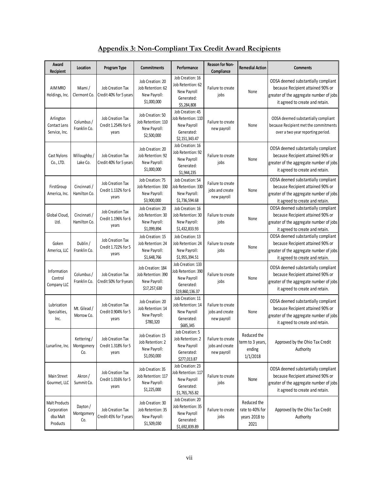| Award<br>Recipient                                   | Location                        | Program Type                                            | <b>Commitments</b>                                                      | Performance                                                                                                            | <b>Reason for Non-</b><br>Compliance                | <b>Remedial Action</b>                                  | <b>Comments</b>                                                                                                                                        |
|------------------------------------------------------|---------------------------------|---------------------------------------------------------|-------------------------------------------------------------------------|------------------------------------------------------------------------------------------------------------------------|-----------------------------------------------------|---------------------------------------------------------|--------------------------------------------------------------------------------------------------------------------------------------------------------|
| AIM MRO<br>Holdings, Inc.                            | Miami/<br>Clermont Co.          | <b>Job Creation Tax</b><br>Credit 40% for 5 years       | Job Creation: 20<br>Job Retention: 62<br>New Payroll:<br>\$1,000,000    | Job Creation: 16<br>Job Retention: 62<br>Failure to create<br>New Payroll<br>None<br>jobs<br>Generated:<br>\$5,284,808 |                                                     |                                                         | ODSA deemed substantially compliant<br>because Recipient attained 90% or<br>greater of the aggregate number of jobs<br>it agreed to create and retain. |
| Arlington<br>Contact Lens<br>Service, Inc.           | Columbus /<br>Franklin Co.      | <b>Job Creation Tax</b><br>Credit 1.254% for 6<br>years | Job Creation: 50<br>Job Retention: 110<br>New Payroll:<br>\$2,500,000   | Job Creation: 45<br>Job Retention: 110<br>New Payroll<br>Generated:<br>\$2,151,343.47                                  | Failure to create<br>new payroll                    | None                                                    | ODSA deemed substantially compliant<br>because Recipient met the commitments<br>over a two year reporting period.                                      |
| Cast Nylons<br>Co., LTD.                             | Willoughby/<br>Lake Co.         | <b>Job Creation Tax</b><br>Credit 40% for 5 years       | Job Creation: 20<br>Job Retention: 92<br>New Payroll:<br>\$1,000,000    | Job Creation: 16<br>Job Retention: 92<br>New Payroll<br>Generated:<br>\$1,944,235                                      | Failure to create<br>jobs                           | None                                                    | ODSA deemed substantially compliant<br>because Recipient attained 90% or<br>greater of the aggregate number of jobs<br>it agreed to create and retain. |
| FirstGroup<br>America, Inc.                          | Cincinnati /<br>Hamilton Co.    | <b>Job Creation Tax</b><br>Credit 1.132% for 6<br>years | Job Creation: 75<br>Job Retention: 330<br>New Payroll:<br>\$3,900,000   | Job Creation: 54<br>Job Retention: 330<br>New Payroll:<br>\$1,736,594.68                                               | Failure to create<br>jobs and create<br>new payroll | None                                                    | ODSA deemed substantially compliant<br>because Recipient attained 90% or<br>greater of the aggregate number of jobs<br>it agreed to create and retain. |
| Global Cloud<br>Ltd.                                 | Cincinnati /<br>Hamilton Co.    | <b>Job Creation Tax</b><br>Credit 1.196% for 6<br>years | Job Creation: 20<br>Job Retention: 30<br>New Payroll:<br>\$1,099,894    | Job Creation: 16<br>Job Retention: 30<br>New Payroll:<br>\$1,432,833.93                                                | Failure to create<br>jobs                           | None                                                    | ODSA deemed substantially compliant<br>because Recipient attained 90% or<br>greater of the aggregate number of jobs<br>it agreed to create and retain. |
| Goken<br>America, LLC                                | Dublin /<br>Franklin Co.        | <b>Job Creation Tax</b><br>Credit 1.722% for 5<br>years | Job Creation: 15<br>Job Retention: 24<br>New Payroll:<br>\$1,648,766    | Job Creation: 13<br>Job Retention: 24<br>New Payroll:<br>\$1,955,394.51                                                | Failure to create<br>jobs                           | None                                                    | ODSA deemed substantially compliant<br>because Recipient attained 90% or<br>greater of the aggregate number of jobs<br>it agreed to create and retain. |
| Information<br>Control<br>Company LLC                | Columbus /<br>Franklin Co.      | <b>Job Creation Tax</b><br>Credit 50% for 9 years       | Job Creation: 184<br>Job Retention: 390<br>New Payroll:<br>\$17,257,630 | Job Creation: 133<br>Job Retention: 390<br>New Payroll<br>Generated:<br>\$19,860,136.37                                | Failure to create<br>jobs                           | None                                                    | ODSA deemed substantially compliant<br>because Recipient attained 90% or<br>greater of the aggregate number of jobs<br>it agreed to create and retain. |
| Lubrication<br>Specialties,<br>Inc.                  | Mt. Gilead /<br>Morrow Co.      | <b>Job Creation Tax</b><br>Credit 0.904% for 5<br>years | Job Creation: 20<br>Job Retention: 14<br>New Payroll:<br>\$780,320      | Job Creation: 11<br>Job Retention: 14<br>New Payroll<br>Generated:<br>\$685,345                                        | Failure to create<br>jobs and create<br>new payroll | None                                                    | ODSA deemed substantially compliant<br>because Recipient attained 90% or<br>greater of the aggregate number of jobs<br>it agreed to create and retain. |
| Lunarline, Inc.                                      | Kettering/<br>Montgomery<br>Co. | <b>Job Creation Tax</b><br>Credit 1.318% for 5<br>years | Job Creation: 15<br>Job Retention: 2<br>New Payroll:<br>\$1,050,000     | Job Creation: 5<br>Job Retention: 2<br>New Payroll<br>Generated:<br>\$277,013.87                                       | Failure to create<br>jobs and create<br>new payroll | Reduced the<br>term to 3 years,<br>ending<br>1/1/2018   | Approved by the Ohio Tax Credit<br>Authority                                                                                                           |
| Main Street<br>Gourmet, LLC                          | Akron /<br>Summit Co.           | Job Creation Tax<br>Credit 1.016% for 5<br>years        | Job Creation: 35<br>Job Retention: 117<br>New Payroll:<br>\$1,225,000   | Job Creation: 23<br>Job Retention: 117<br>New Payroll<br>Generated:<br>\$1,765,765.82                                  | Failure to create<br>jobs                           | None                                                    | ODSA deemed substantially compliant<br>because Recipient attained 90% or<br>greater of the aggregate number of jobs<br>it agreed to create and retain. |
| Malt Products<br>Corporation<br>dba Malt<br>Products | Dayton /<br>Montgomery<br>Co.   | <b>Job Creation Tax</b><br>Credit 45% for 7 years       | Job Creation: 30<br>Job Retention: 35<br>New Payroll:<br>\$1,509,030    | Job Creation: 20<br>Job Retention: 35<br>New Payroll<br>Generated:<br>\$1,692,839.89                                   | Failure to create<br>jobs                           | Reduced the<br>rate to 40% for<br>years 2018 to<br>2021 | Approved by the Ohio Tax Credit<br>Authority                                                                                                           |

# **Appendix 3: Non-Compliant Tax Credit Award Recipients**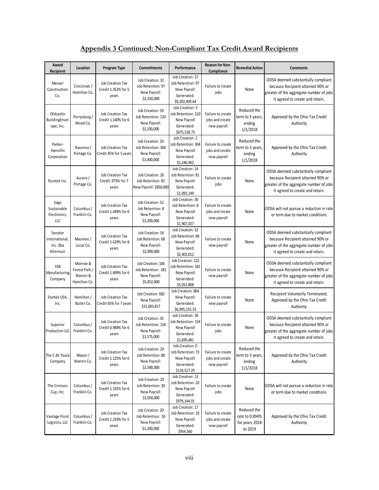# **Appendix 3 Continued: Non-Compliant Tax Credit Award Recipients**

| Award<br>Recipient                                 | Location                                              | Program Type                                            | <b>Commitments</b>                                                     | Performance                                                                          | <b>Reason for Non-</b><br>Compliance                | <b>Remedial Action</b>                                     | <b>Comments</b>                                                                                                                                        |
|----------------------------------------------------|-------------------------------------------------------|---------------------------------------------------------|------------------------------------------------------------------------|--------------------------------------------------------------------------------------|-----------------------------------------------------|------------------------------------------------------------|--------------------------------------------------------------------------------------------------------------------------------------------------------|
| Messer<br>Construction<br>Co.                      | Cincinnati /<br>Hamilton Co.                          | <b>Job Creation Tax</b><br>Credit 1.352% for 5<br>years | Job Creation: 32<br>Job Retention: 97<br>New Payroll:<br>\$2,350,000   | Job Creation: 27<br>Job Retention: 97<br>New Payroll<br>Generated:<br>\$9,202,409.64 | Failure to create<br>jobs                           | None                                                       | ODSA deemed substantially compliant<br>because Recipient attained 90% or<br>greater of the aggregate number of jobs<br>it agreed to create and retain. |
| Oldcastle<br>BuildingEnvel<br>ope, Inc.            | Perrysburg/<br>Wood Co.                               | <b>Job Creation Tax</b><br>Credit 1.140% for 6<br>years | Job Creation: 50<br>Job Retention: 210<br>New Payroll:<br>\$2,200,000  | Job Creation: 3<br>Job Retention: 210<br>New Payroll<br>Generated:<br>\$675,528.73   | Failure to create<br>jobs and create<br>new payroll | Reduced the<br>term to 3 years,<br>ending<br>1/1/2018      | Approved by the Ohio Tax Credit<br>Authority                                                                                                           |
| Parker-<br>Hannifin<br>Corporation                 | Ravenna/<br>Portage Co.                               | <b>Job Creation Tax</b><br>Credit 45% for 5 years       | Job Creation: 29<br>Job Retention: 304<br>New Payroll:<br>\$1,400,000  | Job Creation: 2<br>Job Retention: 304<br>New Payroll<br>Generated:<br>\$1,246,962    | Failure to create<br>jobs and create<br>new payroll | Reduced the<br>term to 3 years<br>ending<br>1/1/2018       | Approved by the Ohio Tax Credit<br>Authority                                                                                                           |
| Pyrotek Inc.                                       | Aurora /<br>Portage Co.                               | <b>Job Creation Tax</b><br>Credit .973% for 7<br>years  | Job Creation: 20<br>Job Retention: 81<br>New Payroll: \$850,000        | Job Creation: 14<br>Job Retention: 81<br>New Payroll<br>Generated:<br>\$1,092,149    | Failure to create<br>jobs                           | None                                                       | ODSA deemed substantially compliant<br>because Recipient attained 90% or<br>greater of the aggregate number of jobs<br>it agreed to create and retain. |
| Sage<br>Sustainable<br>Electronics,<br>LLC         | Columbus /<br>Franklin Co.                            | <b>Job Creation Tax</b><br>Credit 1.449% for 6<br>years | Job Creation: 52<br>Job Retention: 8<br>New Payroll:<br>\$3,200,000    | Job Creation: 30<br>Job Retention: 8<br>New Payroll<br>Generated:<br>\$1,907,027     | Failure to create<br>jobs and create<br>new payroll | None                                                       | ODSA will not pursue a reduction in rate<br>or term due to market conditions                                                                           |
| Senator<br>International,<br>Inc. dba<br>Allermuir | Maumee /<br>Lucas Co.                                 | <b>Job Creation Tax</b><br>Credit 1.629% for 8<br>years | Job Creation: 56<br>Job Retention: 68<br>New Payroll:<br>\$2,900,000   | Job Creation: 52<br>Job Retention: 68<br>New Payroll<br>Generated:<br>\$2,403,012    | Failure to create<br>new payroll                    | None                                                       | ODSA deemed substantially compliant<br>because Recipient attained 90% or<br>greater of the aggregate number of jobs<br>it agreed to create and retain. |
| SSB<br>Manufacturing<br>Company                    | Monroe &<br>Forest Park /<br>Warren &<br>Hamilton Co. | <b>Job Creation Tax</b><br>Credit 1.499% for 6<br>years | Job Creation: 106<br>Job Retention: 181<br>New Payroll:<br>\$5,852,000 | Job Creation: 122<br>Job Retention: 181<br>New Payroll<br>Generated:<br>\$5,052,808  | Failure to create<br>new payroll                    | None                                                       | ODSA deemed substantially compliant<br>because Recipient attained 90% or<br>greater of the aggregate number of jobs<br>it agreed to create and retain. |
| Startek USA,<br>Inc.                               | Hamilton /<br>Butler Co.                              | <b>Job Creation Tax</b><br>Credit 65% for 7 years       | Job Creation: 682<br>New Payroll:<br>\$15,693,817                      | Job Creation: 864<br>New Payroll<br>Generated:<br>\$6,995,232.33                     | Failure to create<br>new payroll                    | None                                                       | Recipient Voluntarily Terminated;<br>Approved by the Ohio Tax Credit<br>Authority                                                                      |
| Superior<br>Production LLC                         | Columbus /<br>Franklin Co.                            | <b>Job Creation Tax</b><br>Credit 0.984% for 6<br>years | Job Creation: 35<br>Job Retention: 154<br>New Payroll:<br>\$1,575,000  | Job Creation: 30<br>Job Retention: 154<br>New Payroll<br>Generated:<br>\$1,699,481   | Failure to create<br>jobs                           | None                                                       | ODSA deemed substantially compliant<br>because Recipient attained 90% or<br>greater of the aggregate number of jobs<br>it agreed to create and retain. |
| The C.M. Paula<br>Company                          | Mason /<br>Warren Co.                                 | Job Creation Tax<br>Credit 1.125% for 6<br>years        | Job Creation: 29<br>Job Retention: 80<br>New Payroll:<br>\$1,580,000   | Job Creation: 0<br>Job Retention: 73<br>New Payroll<br>Generated:<br>\$124,517.29    | Failure to create<br>jobs and create<br>new payroll | Reduced the<br>term to 3 years,<br>ending<br>1/1/2018      | Approved by the Ohio Tax Credit<br>Authority                                                                                                           |
| The Crimson<br>Cup, Inc.                           | Columbus /<br>Franklin Co.                            | <b>Job Creation Tax</b><br>Credit 1.191% for 6<br>years | Job Creation: 20<br>Job Retention: 20<br>New Payroll:<br>\$1,050,000   | Job Creation: 13<br>Job Retention: 20<br>New Payroll<br>Generated:<br>\$979,144.01   | Failure to create<br>jobs                           | None                                                       | ODSA will not pursue a reduction in rate<br>or term due to market conditions                                                                           |
| Vantage Point<br>Logistics, LLC                    | Columbus /<br>Franklin Co.                            | Job Creation Tax<br>Credit 1.233% for 5<br>years        | Job Creation: 20<br>Job Retention: 10<br>New Payroll:<br>\$1,200,000   | Job Creation: 17<br>Job Retention: 10<br>New Payroll<br>Generated:<br>\$954,560      | Failure to create<br>jobs and create<br>new payroll | Reduced the<br>rate to 0.894%<br>for years 2018<br>to 2019 | Approved by the Ohio Tax Credit<br>Authority                                                                                                           |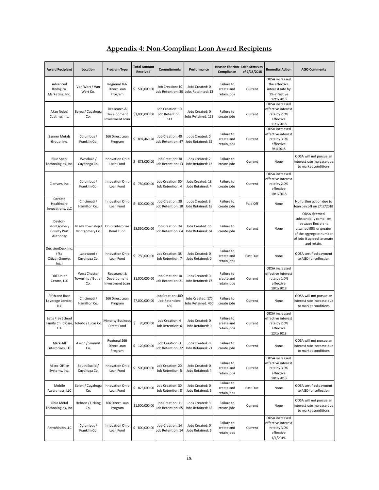| <b>Award Recipient</b>                                   | Location                                        | Program Type                                  | <b>Total Amount</b><br>Received | <b>Commitments</b>                         | Performance                             | Reason for Non-<br>Compliance           | Loan Status as<br>of 9/18/2018 | <b>Remedial Action</b>                                                           | <b>AGO Comments</b>                                                                                                                                             |
|----------------------------------------------------------|-------------------------------------------------|-----------------------------------------------|---------------------------------|--------------------------------------------|-----------------------------------------|-----------------------------------------|--------------------------------|----------------------------------------------------------------------------------|-----------------------------------------------------------------------------------------------------------------------------------------------------------------|
| Advanced<br>Biological<br>Marketing, Inc.                | Van Wert / Van<br>Wert Co.                      | Regional 166<br>Direct Loan<br>Program        | \$500,000.00                    | Job Creation: 10<br>Job Retention: 30      | Jobs Created: 0<br>Jobs Retainted: 13   | Failure to<br>create and<br>retain jobs | Current                        | ODSA increased<br>the effective<br>interest rate by<br>1% effective<br>12/1/2018 |                                                                                                                                                                 |
| Akzo Nobel<br>Coatings Inc.                              | Berea / Cuyahoga<br>Co.                         | Reasearch &<br>Development<br>Investment Loan | \$1,000,000.00                  | Job Creation: 10<br>Job Retention:<br>141  | Jobs Created: 0<br>Jobs Retained: 129   | Failure to<br>create jobs               | Current                        | ODSA increased<br>effective interest<br>rate by 2.0%<br>effective<br>11/1/2018   |                                                                                                                                                                 |
| <b>Banner Metals</b><br>Group, Inc.                      | Columbus /<br>Franklin Co.                      | 166 Direct Loan<br>Program                    | \$ 897,460.28                   | Job Creation: 40<br>Job Retention: 47      | Jobs Created: 0<br>Jobs Retained: 35    | Failure to<br>create and<br>retain jobs | Current                        | ODSA increased<br>effective interest<br>rate by 3.0%<br>effective<br>9/1/2018    |                                                                                                                                                                 |
| <b>Blue Spark</b><br>Technologies, Inc.                  | Westlake /<br>Cuyahoga Co.                      | Innovation Ohio<br>Loan Fund                  | \$ 873,000.00                   | Job Creation: 30<br>Job Retention: 13      | Jobs Created: 2<br>Jobs Retained: 13    | Failure to<br>create jobs               | Current                        | None                                                                             | ODSA will not pursue an<br>interest rate increase due<br>to market conditions                                                                                   |
| Clarivoy, Inc.                                           | Columbus /<br>Franklin Co.                      | Innovation Ohio<br>Loan Fund                  | \$750,000.00                    | Job Creation: 30<br>Job Retention: 4       | Jobs Created: 18<br>Jobs Retained: 4    | Failure to<br>create jobs               | Current                        | ODSA increased<br>effective interest<br>rate by 2.0%<br>effective<br>10/1/2018   |                                                                                                                                                                 |
| Cordata<br>Healthcare<br>Innovations, LLC                | Cincinnati /<br>Hamilton Co.                    | <b>Innovation Ohio</b><br>Loan Fund           | \$800,000.00                    | Job Creation: 30<br>Job Retention: 18      | Jobs Created: 3<br>Jobs Retained: 18    | Failure to<br>create jobs               | Paid Off                       | None                                                                             | No further action due to<br>loan pay off on 7/17/2018                                                                                                           |
| Dayton-<br>Montgomery<br><b>County Port</b><br>Authority | Miami Township,<br>Montgomery Co.               | Ohio Enterprise<br>Bond Fund                  | \$8,350,000.00                  | Job Creation: 24<br>Job Retention: 64      | Jobs Created: 15<br>Jobs Retained: 64   | Failure to<br>create jobs               | Current                        | None                                                                             | ODSA deemed<br>substantially compliant<br>because Recipient<br>attained 90% or greater<br>of the aggregate number<br>of jobs it agreed to create<br>and retain. |
| DecisionDesk Inc.<br>(fka<br>CitizenGroove,<br>Inc.]     | Lakewood /<br>Cuyahoga Co.                      | Innovation Ohio<br>Loan Fund                  | \$750,000.00                    | Job Creation: 38<br>Job Retention: 7       | Jobs Created: 0<br>Jobs Retained: 0     | Failure to<br>create and<br>retain jobs | Past Due                       | None                                                                             | ODSA certified payment<br>to AGO for collection                                                                                                                 |
| <b>DRT Union</b><br>Centre, LLC                          | <b>West Chester</b><br>Township / Butler<br>Co. | Reasearch &<br>Development<br>Investment Loan | \$1,000,000.00                  | Job Creation: 10<br>Job Retention: 21      | Jobs Created: 0<br>Jobs Retained: 17    | Failure to<br>create and<br>retain jobs | Current                        | ODSA increased<br>effective interest<br>rate by 1.0%<br>effective<br>10/1/2018   |                                                                                                                                                                 |
| Fifth and Race<br>Leverage Lender,<br>LLC                | Cincinnati /<br>Hamilton Co.                    | 166 Direct Loan<br>Program                    | \$7,000,000.00                  | Job Creation: 400<br>Job Retention:<br>450 | Jobs Created: 170<br>Jobs Retained: 450 | Failure to<br>create jobs               | Current                        | None                                                                             | ODSA will not pursue an<br>interest rate increase due<br>to market conditions                                                                                   |
| Let's Play School<br>LLC                                 | Family Child Care, Toledo / Lucas Co.           | <b>Minority Business</b><br>Direct Fund       | \$<br>70,000.00                 | Job Creation: 4<br>Job Retention: 6        | Jobs Created: 0<br>Jobs Retained: 0     | Failure to<br>create and<br>retain jobs | Current                        | ODSA increased<br>effective interest<br>rate by 2.0%<br>effective<br>12/1/2018   |                                                                                                                                                                 |
| Mark-All<br>Enterprises, LLC                             | Akron / Summit<br>Co.                           | Regional 166<br>Direct Loan<br>Program        | \$120,000.00                    | Job Creation: 3<br>Job Retention: 22       | Jobs Created: 0<br>Jobs Retained: 21    | Failure to<br>create jobs               | Current                        | None                                                                             | ODSA will not pursue an<br>interest rate increase due<br>to market conditions                                                                                   |
| Micro-Office<br>Systems, Inc.                            | South Euclid /<br>Cuyahoga Co.                  | Innovation Ohio<br>Loan Fund                  | \$500,000.00                    | Job Creation: 20<br>Job Retention: 5       | Jobs Created: 0<br>Jobs Retained: 4     | Failure to<br>create and<br>retain jobs | Current                        | ODSA increased<br>effective interest<br>rate by 3.0%<br>effective<br>10/1/2018   |                                                                                                                                                                 |
| Mobile<br>Awareness, LLC                                 | Solon / Cuyahoga<br>Co.                         | Innovation Ohio<br>Loan Fund                  | \$825,000.00                    | Job Creation: 30<br>Job Retention: 8       | Jobs Created: 0<br>Jobs Retained: 5     | Failure to<br>create and<br>retain jobs | Past Due                       | None                                                                             | ODSA certified payment<br>to AGO for collection                                                                                                                 |
| Ohio Metal<br>Technologies, Inc.                         | Hebron / Licking<br>Co.                         | 166 Direct Loan<br>Program                    | \$1,500,000.00                  | Job Creation: 11<br>Job Retention: 65      | Jobs Created: 3<br>Jobs Retained: 65    | Failure to<br>create jobs               | Current                        | None                                                                             | ODSA will not pursue an<br>interest rate increase due<br>to market conditions                                                                                   |
| PercuVision LLC                                          | Columbus /<br>Franklin Co.                      | Innovation Ohio<br>Loan Fund                  | \$800,000.00                    | Job Creation: 14<br>Job Retention: 14      | Jobs Created: 0<br>Jobs Retained: 5     | Failure to<br>create and<br>retain jobs | Current                        | ODSA increased<br>effective interest<br>rate by 3.0%<br>effective<br>1/1/2019.   |                                                                                                                                                                 |

# **Appendix 4: Non-Compliant Loan Award Recipients**